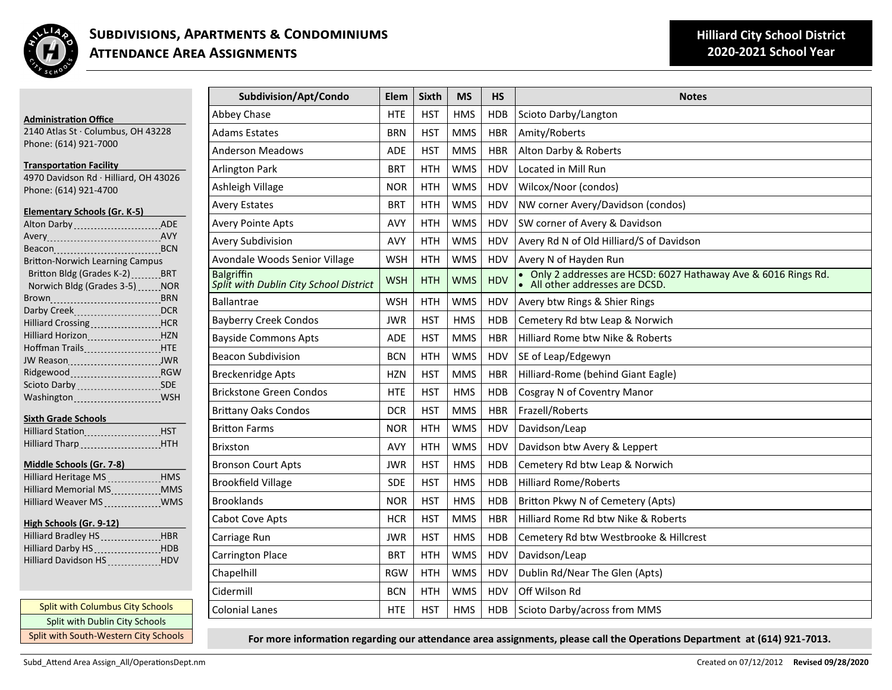

| <b>Administration Office</b>                                           | Abbey          |
|------------------------------------------------------------------------|----------------|
| 2140 Atlas St · Columbus, OH 43228                                     | Adams          |
| Phone: (614) 921-7000                                                  | Anders         |
| <b>Transportation Facility</b>                                         | Arlingt        |
| 4970 Davidson Rd · Hilliard, OH 43026                                  |                |
| Phone: (614) 921-4700                                                  | Ashlei         |
| <b>Elementary Schools (Gr. K-5)</b>                                    | Avery          |
| Alton Darby  ADE                                                       | Avery          |
|                                                                        | Avery          |
| Beacon  BCN                                                            |                |
| <b>Britton-Norwich Learning Campus</b>                                 | Avond          |
| Britton Bldg (Grades K-2) BRT                                          | <b>Balgrif</b> |
| Norwich Bldg (Grades 3-5) ______ NOR                                   | Split w        |
|                                                                        | <b>Ballan</b>  |
| Hilliard Crossing <b>Fig. 1. 1998</b> HCR                              | Bayber         |
| Hilliard Horizon [19] HZN                                              | Baysid         |
| Hoffman Trails ___________________ HTE                                 |                |
| JW Reason __________________________JWR                                | Beacor         |
|                                                                        | Brecke         |
| Scioto Darby SDE                                                       | <b>Brickst</b> |
|                                                                        |                |
| <b>Sixth Grade Schools</b>                                             | <b>Brittar</b> |
|                                                                        | Brittor        |
| Hilliard Tharp HTH                                                     | <b>Brixstc</b> |
|                                                                        | <b>Bronso</b>  |
| Middle Schools (Gr. 7-8)<br>Hilliard Heritage MS<br>1995 - Martinge MS | <b>Brookf</b>  |
| Hilliard Memorial MS  MMS                                              |                |
| Hilliard Weaver MS _____________ WMS                                   | <b>Brookl</b>  |
| High Schools (Gr. 9-12)                                                | Cabot          |
| Hilliard Bradley HS HBR                                                | Carria         |
| Hilliard Darby HS [1991] HDB                                           | Carring        |
| Hilliard Davidson HS ____________ HDV                                  | Chape          |
|                                                                        |                |
|                                                                        | Cidern         |
| Split with Columbus City Schools                                       | Coloni         |
| Split with Dublin City Schools                                         |                |
| Split with South-Western City Schools                                  |                |

| Subdivision/Apt/Condo                                       | Elem       | <b>Sixth</b> | <b>MS</b>  | <b>HS</b>  | <b>Notes</b>                                                                                       |
|-------------------------------------------------------------|------------|--------------|------------|------------|----------------------------------------------------------------------------------------------------|
| Abbey Chase                                                 | HTE        | <b>HST</b>   | <b>HMS</b> | <b>HDB</b> | Scioto Darby/Langton                                                                               |
| <b>Adams Estates</b>                                        | <b>BRN</b> | <b>HST</b>   | <b>MMS</b> | <b>HBR</b> | Amity/Roberts                                                                                      |
| <b>Anderson Meadows</b>                                     | <b>ADE</b> | <b>HST</b>   | <b>MMS</b> | <b>HBR</b> | Alton Darby & Roberts                                                                              |
| <b>Arlington Park</b>                                       | <b>BRT</b> | <b>HTH</b>   | <b>WMS</b> | <b>HDV</b> | Located in Mill Run                                                                                |
| Ashleigh Village                                            | <b>NOR</b> | <b>HTH</b>   | <b>WMS</b> | HDV        | Wilcox/Noor (condos)                                                                               |
| <b>Avery Estates</b>                                        | <b>BRT</b> | <b>HTH</b>   | <b>WMS</b> | HDV        | NW corner Avery/Davidson (condos)                                                                  |
| <b>Avery Pointe Apts</b>                                    | <b>AVY</b> | <b>HTH</b>   | <b>WMS</b> | HDV        | SW corner of Avery & Davidson                                                                      |
| Avery Subdivision                                           | AVY        | <b>HTH</b>   | <b>WMS</b> | HDV        | Avery Rd N of Old Hilliard/S of Davidson                                                           |
| Avondale Woods Senior Village                               | <b>WSH</b> | HTH          | WMS        | HDV        | Avery N of Hayden Run                                                                              |
| <b>Balgriffin</b><br>Split with Dublin City School District | <b>WSH</b> | <b>HTH</b>   | <b>WMS</b> | <b>HDV</b> | • Only 2 addresses are HCSD: 6027 Hathaway Ave & 6016 Rings Rd.<br>• All other addresses are DCSD. |
| <b>Ballantrae</b>                                           | <b>WSH</b> | <b>HTH</b>   | <b>WMS</b> | <b>HDV</b> | Avery btw Rings & Shier Rings                                                                      |
| <b>Bayberry Creek Condos</b>                                | <b>JWR</b> | <b>HST</b>   | <b>HMS</b> | <b>HDB</b> | Cemetery Rd btw Leap & Norwich                                                                     |
| <b>Bayside Commons Apts</b>                                 | <b>ADE</b> | <b>HST</b>   | <b>MMS</b> | <b>HBR</b> | Hilliard Rome btw Nike & Roberts                                                                   |
| <b>Beacon Subdivision</b>                                   | <b>BCN</b> | HTH          | <b>WMS</b> | HDV        | SE of Leap/Edgewyn                                                                                 |
| <b>Breckenridge Apts</b>                                    | <b>HZN</b> | <b>HST</b>   | <b>MMS</b> | <b>HBR</b> | Hilliard-Rome (behind Giant Eagle)                                                                 |
| <b>Brickstone Green Condos</b>                              | HTE        | <b>HST</b>   | <b>HMS</b> | <b>HDB</b> | Cosgray N of Coventry Manor                                                                        |
| <b>Brittany Oaks Condos</b>                                 | <b>DCR</b> | <b>HST</b>   | <b>MMS</b> | <b>HBR</b> | Frazell/Roberts                                                                                    |
| <b>Britton Farms</b>                                        | <b>NOR</b> | <b>HTH</b>   | <b>WMS</b> | HDV        | Davidson/Leap                                                                                      |
| <b>Brixston</b>                                             | AVY        | <b>HTH</b>   | <b>WMS</b> | HDV        | Davidson btw Avery & Leppert                                                                       |
| <b>Bronson Court Apts</b>                                   | <b>JWR</b> | <b>HST</b>   | <b>HMS</b> | <b>HDB</b> | Cemetery Rd btw Leap & Norwich                                                                     |
| <b>Brookfield Village</b>                                   | <b>SDE</b> | <b>HST</b>   | <b>HMS</b> | <b>HDB</b> | <b>Hilliard Rome/Roberts</b>                                                                       |
| <b>Brooklands</b>                                           | <b>NOR</b> | <b>HST</b>   | <b>HMS</b> | <b>HDB</b> | Britton Pkwy N of Cemetery (Apts)                                                                  |
| Cabot Cove Apts                                             | <b>HCR</b> | <b>HST</b>   | <b>MMS</b> | <b>HBR</b> | Hilliard Rome Rd btw Nike & Roberts                                                                |
| Carriage Run                                                | JWR        | <b>HST</b>   | <b>HMS</b> | <b>HDB</b> | Cemetery Rd btw Westbrooke & Hillcrest                                                             |
| Carrington Place                                            | <b>BRT</b> | <b>HTH</b>   | <b>WMS</b> | HDV        | Davidson/Leap                                                                                      |
| Chapelhill                                                  | <b>RGW</b> | <b>HTH</b>   | <b>WMS</b> | HDV        | Dublin Rd/Near The Glen (Apts)                                                                     |
| Cidermill                                                   | <b>BCN</b> | <b>HTH</b>   | <b>WMS</b> | HDV        | Off Wilson Rd                                                                                      |
| <b>Colonial Lanes</b>                                       | <b>HTE</b> | <b>HST</b>   | <b>HMS</b> | <b>HDB</b> | Scioto Darby/across from MMS                                                                       |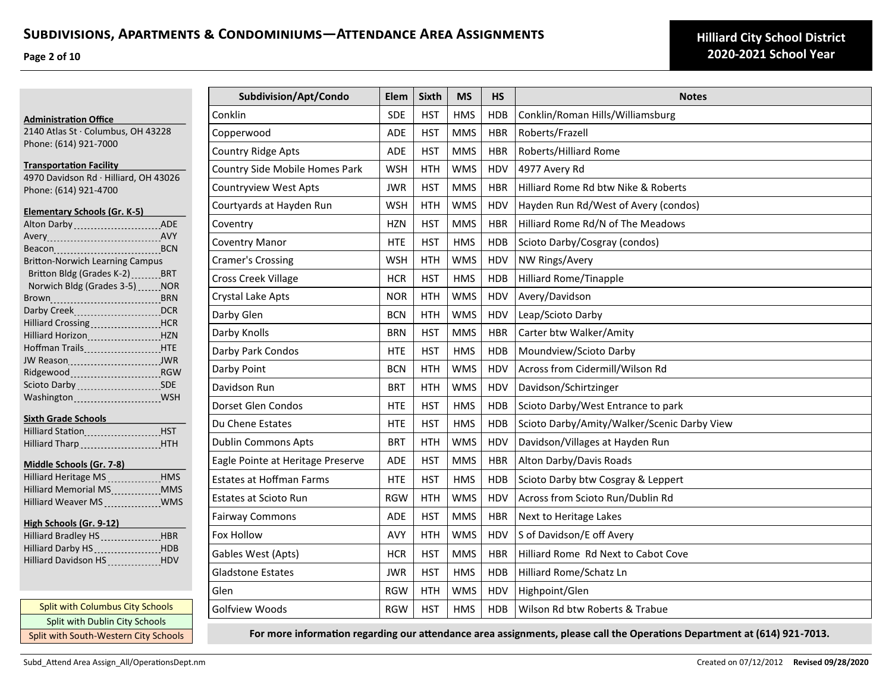**Page 2 of 10**

|                       |                                                                 | Subdivision/Apt/Condo             | Elem       | <b>Sixth</b> | <b>MS</b>  | <b>HS</b>  | <b>Notes</b>                                |
|-----------------------|-----------------------------------------------------------------|-----------------------------------|------------|--------------|------------|------------|---------------------------------------------|
|                       | <b>Administration Office</b>                                    | Conklin                           | <b>SDE</b> | <b>HST</b>   | <b>HMS</b> | <b>HDB</b> | Conklin/Roman Hills/Williamsburg            |
|                       | 2140 Atlas St · Columbus, OH 43228                              | Copperwood                        | ADE        | <b>HST</b>   | <b>MMS</b> | <b>HBR</b> | Roberts/Frazell                             |
| Phone: (614) 921-7000 |                                                                 | <b>Country Ridge Apts</b>         | ADE        | <b>HST</b>   | <b>MMS</b> | <b>HBR</b> | Roberts/Hilliard Rome                       |
|                       | <b>Transportation Facility</b>                                  | Country Side Mobile Homes Park    | <b>WSH</b> | <b>HTH</b>   | <b>WMS</b> | HDV        | 4977 Avery Rd                               |
|                       | 4970 Davidson Rd · Hilliard, OH 43026<br>Phone: (614) 921-4700  | <b>Countryview West Apts</b>      | <b>JWR</b> | <b>HST</b>   | <b>MMS</b> | <b>HBR</b> | Hilliard Rome Rd btw Nike & Roberts         |
|                       |                                                                 | Courtyards at Hayden Run          | <b>WSH</b> | <b>HTH</b>   | <b>WMS</b> | HDV        | Hayden Run Rd/West of Avery (condos)        |
|                       | <b>Elementary Schools (Gr. K-5)</b>                             | Coventry                          | <b>HZN</b> | <b>HST</b>   | <b>MMS</b> | <b>HBR</b> | Hilliard Rome Rd/N of The Meadows           |
|                       |                                                                 | <b>Coventry Manor</b>             | <b>HTE</b> | <b>HST</b>   | <b>HMS</b> | <b>HDB</b> | Scioto Darby/Cosgray (condos)               |
|                       | <b>Britton-Norwich Learning Campus</b>                          | <b>Cramer's Crossing</b>          | <b>WSH</b> | <b>HTH</b>   | <b>WMS</b> | HDV        | NW Rings/Avery                              |
|                       | Britton Bldg (Grades K-2) BRT                                   | Cross Creek Village               | <b>HCR</b> | <b>HST</b>   | <b>HMS</b> | <b>HDB</b> | <b>Hilliard Rome/Tinapple</b>               |
|                       | Norwich Bldg (Grades 3-5) NOR                                   | Crystal Lake Apts                 | <b>NOR</b> | <b>HTH</b>   | <b>WMS</b> | HDV        | Avery/Davidson                              |
|                       | Darby Creek<br>DCR                                              | Darby Glen                        | <b>BCN</b> | <b>HTH</b>   | <b>WMS</b> | HDV        | Leap/Scioto Darby                           |
|                       | Hilliard Crossing HCR<br>Hilliard Horizon HZN                   | Darby Knolls                      | <b>BRN</b> | <b>HST</b>   | <b>MMS</b> | <b>HBR</b> | Carter btw Walker/Amity                     |
|                       | Hoffman Trails ______________________HTE                        | Darby Park Condos                 | <b>HTE</b> | <b>HST</b>   | <b>HMS</b> | <b>HDB</b> | Moundview/Scioto Darby                      |
|                       | JW Reason MWR<br>Ridgewood Ridgewood RGW                        | Darby Point                       | <b>BCN</b> | <b>HTH</b>   | <b>WMS</b> | HDV        | Across from Cidermill/Wilson Rd             |
|                       |                                                                 | Davidson Run                      | <b>BRT</b> | <b>HTH</b>   | <b>WMS</b> | HDV        | Davidson/Schirtzinger                       |
|                       | Washington ______________________WSH                            | Dorset Glen Condos                | <b>HTE</b> | <b>HST</b>   | <b>HMS</b> | <b>HDB</b> | Scioto Darby/West Entrance to park          |
|                       | <b>Sixth Grade Schools</b>                                      | Du Chene Estates                  | <b>HTE</b> | <b>HST</b>   | <b>HMS</b> | <b>HDB</b> | Scioto Darby/Amity/Walker/Scenic Darby View |
|                       | Hilliard StationHST<br>Hilliard Tharp HTH                       | Dublin Commons Apts               | <b>BRT</b> | <b>HTH</b>   | <b>WMS</b> | HDV        | Davidson/Villages at Hayden Run             |
|                       | Middle Schools (Gr. 7-8)                                        | Eagle Pointe at Heritage Preserve | <b>ADE</b> | <b>HST</b>   | <b>MMS</b> | <b>HBR</b> | Alton Darby/Davis Roads                     |
|                       | Hilliard Heritage MS _____________HMS                           | <b>Estates at Hoffman Farms</b>   | <b>HTE</b> | <b>HST</b>   | <b>HMS</b> | <b>HDB</b> | Scioto Darby btw Cosgray & Leppert          |
|                       | Hilliard Memorial MS ____________ MMS                           | <b>Estates at Scioto Run</b>      | <b>RGW</b> | <b>HTH</b>   | <b>WMS</b> | HDV        | Across from Scioto Run/Dublin Rd            |
|                       | Hilliard Weaver MS _____________WMS                             | <b>Fairway Commons</b>            | ADE        | <b>HST</b>   | <b>MMS</b> | <b>HBR</b> | Next to Heritage Lakes                      |
|                       | High Schools (Gr. 9-12)<br>Hilliard Bradley HS _____________HBR | Fox Hollow                        | <b>AVY</b> | <b>HTH</b>   | <b>WMS</b> | HDV        | S of Davidson/E off Avery                   |
|                       | Hilliard Darby HS __________________HDB                         |                                   |            |              |            |            |                                             |
|                       | Hilliard Davidson HS ____________ HDV                           | Gables West (Apts)                | <b>HCR</b> | <b>HST</b>   | <b>MMS</b> | <b>HBR</b> | Hilliard Rome Rd Next to Cabot Cove         |
|                       |                                                                 | <b>Gladstone Estates</b>          | <b>JWR</b> | <b>HST</b>   | <b>HMS</b> | <b>HDB</b> | Hilliard Rome/Schatz Ln                     |
|                       |                                                                 | Glen                              | <b>RGW</b> | <b>HTH</b>   | <b>WMS</b> | HDV        | Highpoint/Glen                              |
|                       | Split with Columbus City Schools                                | Golfview Woods                    | <b>RGW</b> | <b>HST</b>   | <b>HMS</b> | <b>HDB</b> | Wilson Rd btw Roberts & Trabue              |
|                       | Split with Dublin City Schools                                  |                                   |            |              |            |            |                                             |

**For more information regarding our attendance area assignments, please call the Operations Department at (614) 921-7013.**

Split with South-Western City Schools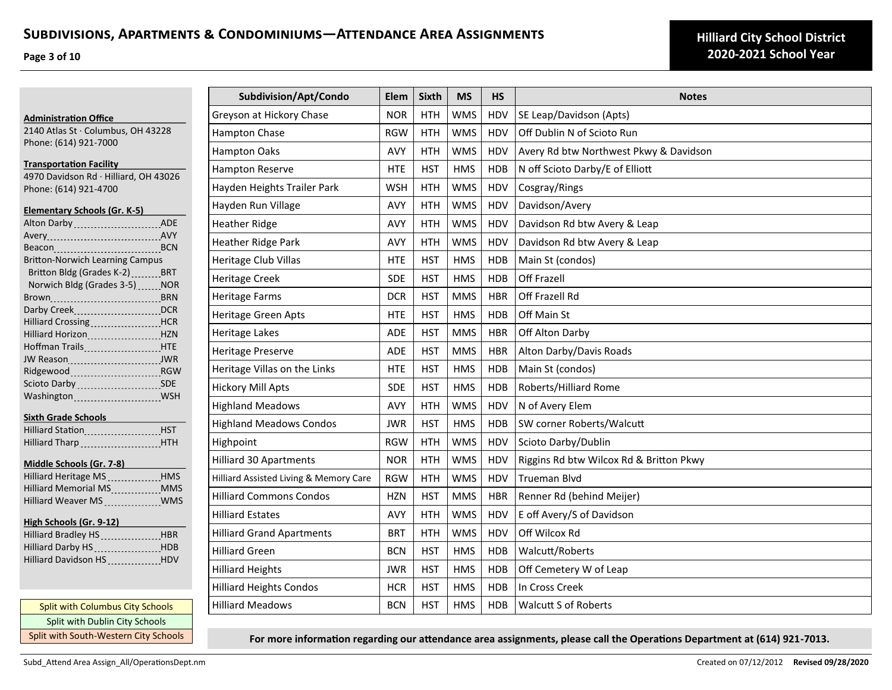**Page 3 of 10**

|                                                                                                                                  | Subdivision/Apt/Condo                  | Elem       | <b>Sixth</b> | <b>MS</b>  | <b>HS</b>  | <b>Notes</b>                            |
|----------------------------------------------------------------------------------------------------------------------------------|----------------------------------------|------------|--------------|------------|------------|-----------------------------------------|
| <b>Administration Office</b>                                                                                                     | Greyson at Hickory Chase               | <b>NOR</b> | <b>HTH</b>   | <b>WMS</b> | <b>HDV</b> | SE Leap/Davidson (Apts)                 |
| 2140 Atlas St · Columbus, OH 43228                                                                                               | Hampton Chase                          | <b>RGW</b> | <b>HTH</b>   | <b>WMS</b> | HDV        | Off Dublin N of Scioto Run              |
| Phone: (614) 921-7000                                                                                                            | <b>Hampton Oaks</b>                    | <b>AVY</b> | <b>HTH</b>   | <b>WMS</b> | HDV        | Avery Rd btw Northwest Pkwy & Davidson  |
| <b>Transportation Facility</b>                                                                                                   | <b>Hampton Reserve</b>                 | <b>HTE</b> | <b>HST</b>   | <b>HMS</b> | HDB        | N off Scioto Darby/E of Elliott         |
| 4970 Davidson Rd · Hilliard, OH 43026<br>Phone: (614) 921-4700                                                                   | Hayden Heights Trailer Park            | <b>WSH</b> | <b>HTH</b>   | <b>WMS</b> | HDV        | Cosgray/Rings                           |
| <b>Elementary Schools (Gr. K-5)</b>                                                                                              | Hayden Run Village                     | AVY        | <b>HTH</b>   | <b>WMS</b> | HDV        | Davidson/Avery                          |
| Alton Darby (Alton Darby ADE                                                                                                     | <b>Heather Ridge</b>                   | AVY        | <b>HTH</b>   | <b>WMS</b> | HDV        | Davidson Rd btw Avery & Leap            |
| Avery 2008 Avery 2008                                                                                                            | Heather Ridge Park                     | <b>AVY</b> | <b>HTH</b>   | <b>WMS</b> | HDV        | Davidson Rd btw Avery & Leap            |
| Beacon BCN<br><b>Britton-Norwich Learning Campus</b>                                                                             | <b>Heritage Club Villas</b>            | <b>HTE</b> | <b>HST</b>   | <b>HMS</b> | <b>HDB</b> | Main St (condos)                        |
| Britton Bldg (Grades K-2) _______ BRT                                                                                            | <b>Heritage Creek</b>                  | <b>SDE</b> | <b>HST</b>   | <b>HMS</b> | <b>HDB</b> | Off Frazell                             |
| Norwich Bldg (Grades 3-5) _____ NOR                                                                                              | <b>Heritage Farms</b>                  | <b>DCR</b> | <b>HST</b>   | <b>MMS</b> | <b>HBR</b> | Off Frazell Rd                          |
| Darby CreekDCR                                                                                                                   | Heritage Green Apts                    | <b>HTE</b> | <b>HST</b>   | <b>HMS</b> | <b>HDB</b> | Off Main St                             |
| Hilliard Crossing _____________________HCR<br>Hilliard Horizon [19] HZN                                                          | Heritage Lakes                         | <b>ADE</b> | <b>HST</b>   | <b>MMS</b> | <b>HBR</b> | Off Alton Darby                         |
| Hoffman Trails Manuel HTE                                                                                                        | <b>Heritage Preserve</b>               | <b>ADE</b> | <b>HST</b>   | <b>MMS</b> | <b>HBR</b> | Alton Darby/Davis Roads                 |
|                                                                                                                                  | Heritage Villas on the Links           | <b>HTE</b> | <b>HST</b>   | <b>HMS</b> | <b>HDB</b> | Main St (condos)                        |
| Scioto Darby  SDE                                                                                                                | <b>Hickory Mill Apts</b>               | <b>SDE</b> | <b>HST</b>   | <b>HMS</b> | <b>HDB</b> | Roberts/Hilliard Rome                   |
|                                                                                                                                  | <b>Highland Meadows</b>                | <b>AVY</b> | <b>HTH</b>   | <b>WMS</b> | HDV        | N of Avery Elem                         |
| <b>Sixth Grade Schools</b>                                                                                                       | <b>Highland Meadows Condos</b>         | <b>JWR</b> | <b>HST</b>   | <b>HMS</b> | HDB        | SW corner Roberts/Walcutt               |
| Hilliard Station<br>1997 - The Manus Harry, Marian Barnett, Marian Barnett, Maria Barnett, Maria Barnett, Maria Barnett, Maria B | Highpoint                              | <b>RGW</b> | <b>HTH</b>   | <b>WMS</b> | HDV        | Scioto Darby/Dublin                     |
|                                                                                                                                  | <b>Hilliard 30 Apartments</b>          | <b>NOR</b> | <b>HTH</b>   | <b>WMS</b> | HDV        | Riggins Rd btw Wilcox Rd & Britton Pkwy |
| Middle Schools (Gr. 7-8)<br>Hilliard Heritage MS HMS                                                                             | Hilliard Assisted Living & Memory Care | <b>RGW</b> | <b>HTH</b>   | <b>WMS</b> | HDV        | <b>Trueman Blvd</b>                     |
| Hilliard Memorial MS ____________MMS                                                                                             | <b>Hilliard Commons Condos</b>         | <b>HZN</b> | <b>HST</b>   | <b>MMS</b> | <b>HBR</b> | Renner Rd (behind Meijer)               |
| Hilliard Weaver MS ____________ WMS                                                                                              | <b>Hilliard Estates</b>                | <b>AVY</b> | <b>HTH</b>   | <b>WMS</b> | HDV        | E off Avery/S of Davidson               |
| High Schools (Gr. 9-12) Formulation                                                                                              | <b>Hilliard Grand Apartments</b>       | <b>BRT</b> | <b>HTH</b>   | <b>WMS</b> | HDV        | Off Wilcox Rd                           |
| Hilliard Bradley HS HBR<br>Hilliard Darby HS [1994] HDB                                                                          |                                        |            |              |            |            |                                         |
| Hilliard Davidson HS _____________HDV                                                                                            | <b>Hilliard Green</b>                  | <b>BCN</b> | <b>HST</b>   | <b>HMS</b> | <b>HDB</b> | Walcutt/Roberts                         |
|                                                                                                                                  | <b>Hilliard Heights</b>                | <b>JWR</b> | <b>HST</b>   | <b>HMS</b> | <b>HDB</b> | Off Cemetery W of Leap                  |
|                                                                                                                                  | <b>Hilliard Heights Condos</b>         | <b>HCR</b> | <b>HST</b>   | <b>HMS</b> | <b>HDB</b> | In Cross Creek                          |
| <b>Split with Columbus City Schools</b>                                                                                          | <b>Hilliard Meadows</b>                | <b>BCN</b> | <b>HST</b>   | <b>HMS</b> | <b>HDB</b> | <b>Walcutt S of Roberts</b>             |
| Split with Dublin City Schools                                                                                                   |                                        |            |              |            |            |                                         |

**For more information regarding our attendance area assignments, please call the Operations Department at (614) 921-7013.**

Split with South-Western City Schools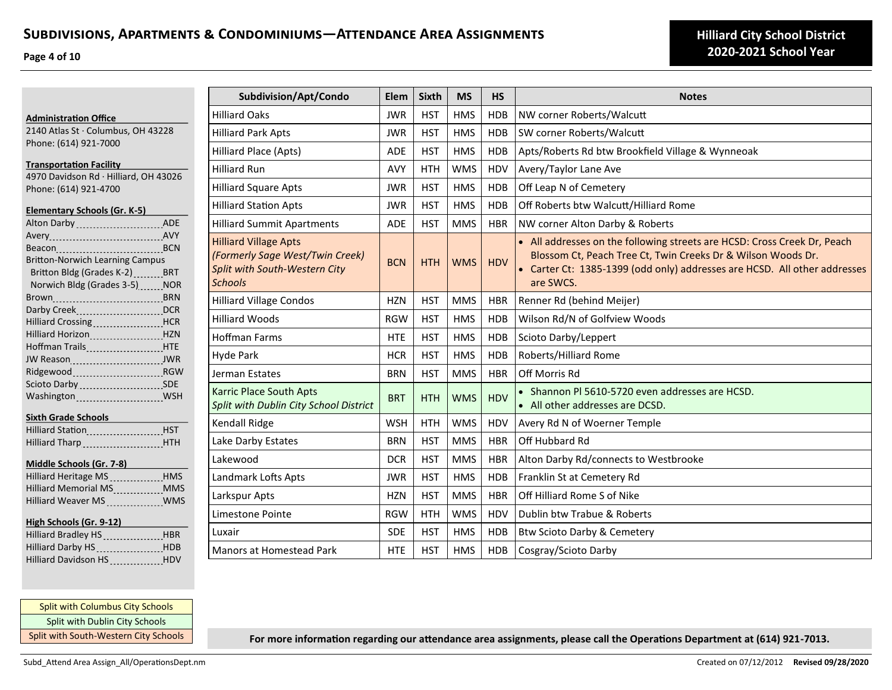**Page 4 of 10**

**Administration Office**

| 2140 Atlas St · Columbus, OH 43228                   |  | Hilliard |
|------------------------------------------------------|--|----------|
| Phone: (614) 921-7000                                |  | Hilliard |
|                                                      |  |          |
| <b>Transportation Facility</b>                       |  | Hilliard |
| 4970 Davidson Rd · Hilliard, OH 43026                |  |          |
| Phone: (614) 921-4700                                |  | Hilliard |
| Elementary Schools (Gr. K-5)                         |  | Hilliard |
| Alton Darby  ADE                                     |  | Hilliard |
|                                                      |  |          |
| Beacon BCN                                           |  | Hilliard |
| <b>Britton-Norwich Learning Campus</b>               |  | (Forme   |
| Britton Bldg (Grades K-2) _______ BRT                |  | Split w  |
| Norwich Bldg (Grades 3-5) NOR                        |  | School   |
|                                                      |  | Hilliard |
|                                                      |  |          |
| Hilliard Crossing <b>Manager Strategier Hilliard</b> |  | Hilliard |
| Hilliard Horizon [11] HZN                            |  | Hoffma   |
| Hoffman Trails <b>Manager Accord HTM</b>             |  |          |
| JW Reason JWR                                        |  | Hyde F   |
| Ridgewood RGW                                        |  | Jermar   |
| Scioto Darby  SDE                                    |  | Karric   |
|                                                      |  |          |
|                                                      |  | Split w  |
| <b>Sixth Grade Schools</b>                           |  | Kendal   |
| Hilliard Station Manuel HST                          |  |          |
| Hilliard Tharp HTH                                   |  | Lake D   |

#### **Middle Schools (Gr. 7-8)**

| Hilliard Heritage MS _____________HMS               |            |
|-----------------------------------------------------|------------|
| <b>Hilliard Memorial MS</b><br><u>All Bernard I</u> | <b>MMS</b> |
| Hilliard Weaver MS _____________ WMS                |            |

#### **High Schools (Gr. 9-12)**

| Hilliard Bradley HS HBR |
|-------------------------|
|                         |
| HDV                     |
|                         |

| Subdivision/Apt/Condo                                                                                              | Elem       | <b>Sixth</b> | <b>MS</b>  | <b>HS</b>  | <b>Notes</b>                                                                                                                                                                                                                       |
|--------------------------------------------------------------------------------------------------------------------|------------|--------------|------------|------------|------------------------------------------------------------------------------------------------------------------------------------------------------------------------------------------------------------------------------------|
| <b>Hilliard Oaks</b>                                                                                               | <b>JWR</b> | <b>HST</b>   | <b>HMS</b> | <b>HDB</b> | NW corner Roberts/Walcutt                                                                                                                                                                                                          |
| <b>Hilliard Park Apts</b>                                                                                          | <b>JWR</b> | <b>HST</b>   | <b>HMS</b> | <b>HDB</b> | SW corner Roberts/Walcutt                                                                                                                                                                                                          |
| Hilliard Place (Apts)                                                                                              | <b>ADE</b> | <b>HST</b>   | <b>HMS</b> | <b>HDB</b> | Apts/Roberts Rd btw Brookfield Village & Wynneoak                                                                                                                                                                                  |
| <b>Hilliard Run</b>                                                                                                | AVY        | <b>HTH</b>   | <b>WMS</b> | HDV        | Avery/Taylor Lane Ave                                                                                                                                                                                                              |
| <b>Hilliard Square Apts</b>                                                                                        | <b>JWR</b> | <b>HST</b>   | <b>HMS</b> | <b>HDB</b> | Off Leap N of Cemetery                                                                                                                                                                                                             |
| <b>Hilliard Station Apts</b>                                                                                       | <b>JWR</b> | <b>HST</b>   | <b>HMS</b> | <b>HDB</b> | Off Roberts btw Walcutt/Hilliard Rome                                                                                                                                                                                              |
| <b>Hilliard Summit Apartments</b>                                                                                  | <b>ADE</b> | <b>HST</b>   | <b>MMS</b> | <b>HBR</b> | NW corner Alton Darby & Roberts                                                                                                                                                                                                    |
| <b>Hilliard Village Apts</b><br>(Formerly Sage West/Twin Creek)<br>Split with South-Western City<br><b>Schools</b> | <b>BCN</b> | <b>HTH</b>   | <b>WMS</b> | <b>HDV</b> | • All addresses on the following streets are HCSD: Cross Creek Dr, Peach<br>Blossom Ct, Peach Tree Ct, Twin Creeks Dr & Wilson Woods Dr.<br>• Carter Ct: 1385-1399 (odd only) addresses are HCSD. All other addresses<br>are SWCS. |
| <b>Hilliard Village Condos</b>                                                                                     | <b>HZN</b> | <b>HST</b>   | <b>MMS</b> | <b>HBR</b> | Renner Rd (behind Meijer)                                                                                                                                                                                                          |
| <b>Hilliard Woods</b>                                                                                              | <b>RGW</b> | <b>HST</b>   | <b>HMS</b> | <b>HDB</b> | Wilson Rd/N of Golfview Woods                                                                                                                                                                                                      |
| <b>Hoffman Farms</b>                                                                                               | <b>HTE</b> | <b>HST</b>   | <b>HMS</b> | <b>HDB</b> | Scioto Darby/Leppert                                                                                                                                                                                                               |
| Hyde Park                                                                                                          | <b>HCR</b> | <b>HST</b>   | <b>HMS</b> | <b>HDB</b> | Roberts/Hilliard Rome                                                                                                                                                                                                              |
| Jerman Estates                                                                                                     | <b>BRN</b> | <b>HST</b>   | <b>MMS</b> | <b>HBR</b> | Off Morris Rd                                                                                                                                                                                                                      |
| Karric Place South Apts<br>Split with Dublin City School District                                                  | <b>BRT</b> | <b>HTH</b>   | <b>WMS</b> | <b>HDV</b> | • Shannon PI 5610-5720 even addresses are HCSD.<br>• All other addresses are DCSD.                                                                                                                                                 |
| <b>Kendall Ridge</b>                                                                                               | <b>WSH</b> | <b>HTH</b>   | <b>WMS</b> | HDV        | Avery Rd N of Woerner Temple                                                                                                                                                                                                       |
| Lake Darby Estates                                                                                                 | <b>BRN</b> | <b>HST</b>   | <b>MMS</b> | <b>HBR</b> | Off Hubbard Rd                                                                                                                                                                                                                     |
| Lakewood                                                                                                           | <b>DCR</b> | <b>HST</b>   | <b>MMS</b> | <b>HBR</b> | Alton Darby Rd/connects to Westbrooke                                                                                                                                                                                              |
| Landmark Lofts Apts                                                                                                | <b>JWR</b> | <b>HST</b>   | <b>HMS</b> | <b>HDB</b> | Franklin St at Cemetery Rd                                                                                                                                                                                                         |
| Larkspur Apts                                                                                                      | <b>HZN</b> | <b>HST</b>   | <b>MMS</b> | <b>HBR</b> | Off Hilliard Rome S of Nike                                                                                                                                                                                                        |
| Limestone Pointe                                                                                                   | <b>RGW</b> | <b>HTH</b>   | <b>WMS</b> | HDV        | Dublin btw Trabue & Roberts                                                                                                                                                                                                        |
| Luxair                                                                                                             | <b>SDE</b> | <b>HST</b>   | <b>HMS</b> | <b>HDB</b> | Btw Scioto Darby & Cemetery                                                                                                                                                                                                        |
| <b>Manors at Homestead Park</b>                                                                                    | <b>HTE</b> | <b>HST</b>   | <b>HMS</b> | <b>HDB</b> | Cosgray/Scioto Darby                                                                                                                                                                                                               |

## Split with Columbus City Schools Split with Dublin City Schools Split with South-Western City Schools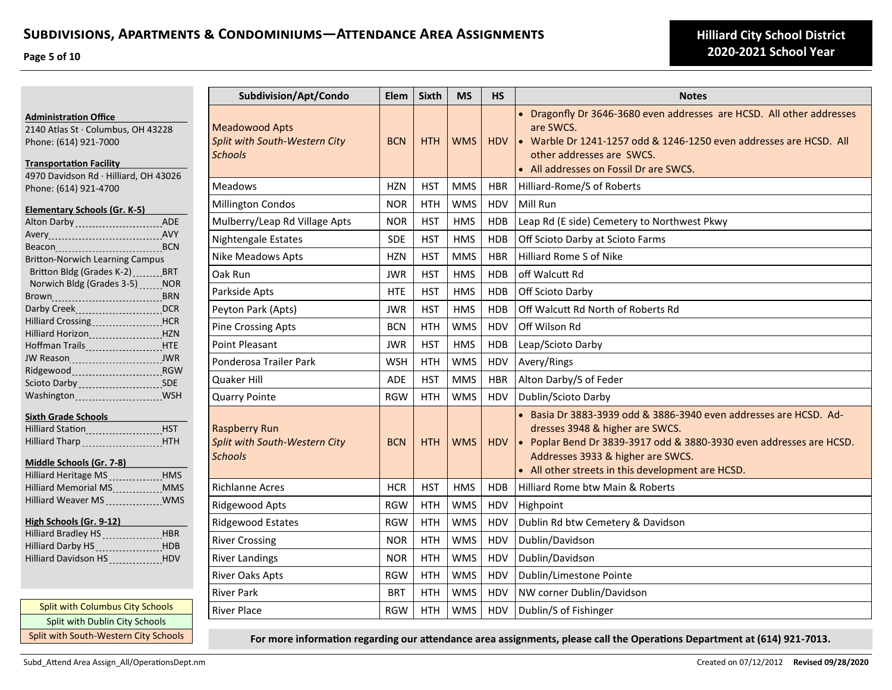**Page 5 of 10**

|                                                                                                                                                                        | Subdivision/Apt/Condo                                                    | Elem       | Sixth      | <b>MS</b>  | <b>HS</b>  | <b>Notes</b>                                                                                                                                                                                                                                                          |
|------------------------------------------------------------------------------------------------------------------------------------------------------------------------|--------------------------------------------------------------------------|------------|------------|------------|------------|-----------------------------------------------------------------------------------------------------------------------------------------------------------------------------------------------------------------------------------------------------------------------|
| <b>Administration Office</b><br>2140 Atlas St · Columbus, OH 43228<br>Phone: (614) 921-7000<br><b>Transportation Facility</b><br>4970 Davidson Rd · Hilliard, OH 43026 | <b>Meadowood Apts</b><br>Split with South-Western City<br><b>Schools</b> | <b>BCN</b> | <b>HTH</b> | <b>WMS</b> | <b>HDV</b> | • Dragonfly Dr 3646-3680 even addresses are HCSD. All other addresses<br>are SWCS.<br>• Warble Dr 1241-1257 odd & 1246-1250 even addresses are HCSD. All<br>other addresses are SWCS.<br>• All addresses on Fossil Dr are SWCS.                                       |
| Phone: (614) 921-4700                                                                                                                                                  | Meadows                                                                  | <b>HZN</b> | <b>HST</b> | <b>MMS</b> | <b>HBR</b> | Hilliard-Rome/S of Roberts                                                                                                                                                                                                                                            |
| Elementary Schools (Gr. K-5)                                                                                                                                           | Millington Condos                                                        | <b>NOR</b> | <b>HTH</b> | <b>WMS</b> | <b>HDV</b> | Mill Run                                                                                                                                                                                                                                                              |
| Alton Darby  ADE                                                                                                                                                       | Mulberry/Leap Rd Village Apts                                            | <b>NOR</b> | <b>HST</b> | <b>HMS</b> | <b>HDB</b> | Leap Rd (E side) Cemetery to Northwest Pkwy                                                                                                                                                                                                                           |
|                                                                                                                                                                        | Nightengale Estates                                                      | <b>SDE</b> | <b>HST</b> | <b>HMS</b> | <b>HDB</b> | Off Scioto Darby at Scioto Farms                                                                                                                                                                                                                                      |
| <b>Britton-Norwich Learning Campus</b>                                                                                                                                 | Nike Meadows Apts                                                        | <b>HZN</b> | <b>HST</b> | <b>MMS</b> | <b>HBR</b> | Hilliard Rome S of Nike                                                                                                                                                                                                                                               |
| Britton Bldg (Grades K-2) BRT                                                                                                                                          | Oak Run                                                                  | <b>JWR</b> | <b>HST</b> | <b>HMS</b> | <b>HDB</b> | off Walcutt Rd                                                                                                                                                                                                                                                        |
| Norwich Bldg (Grades 3-5) NOR                                                                                                                                          | Parkside Apts                                                            | <b>HTE</b> | <b>HST</b> | <b>HMS</b> | <b>HDB</b> | Off Scioto Darby                                                                                                                                                                                                                                                      |
| Darby Creek (1998) Darby Creek (1998) Darby Creek                                                                                                                      | Peyton Park (Apts)                                                       | <b>JWR</b> | <b>HST</b> | <b>HMS</b> | <b>HDB</b> | Off Walcutt Rd North of Roberts Rd                                                                                                                                                                                                                                    |
|                                                                                                                                                                        | <b>Pine Crossing Apts</b>                                                | <b>BCN</b> | <b>HTH</b> | <b>WMS</b> | HDV        | Off Wilson Rd                                                                                                                                                                                                                                                         |
| Hilliard Horizon Manuel All HZN<br>Hoffman Trails <b>_______________________HTE</b>                                                                                    | <b>Point Pleasant</b>                                                    | <b>JWR</b> | <b>HST</b> | <b>HMS</b> | <b>HDB</b> | Leap/Scioto Darby                                                                                                                                                                                                                                                     |
| JW Reason 1999 JWR                                                                                                                                                     | Ponderosa Trailer Park                                                   | <b>WSH</b> | <b>HTH</b> | <b>WMS</b> | HDV        | Avery/Rings                                                                                                                                                                                                                                                           |
| Ridgewood Ridgewood RGW                                                                                                                                                | Quaker Hill                                                              | <b>ADE</b> | <b>HST</b> | <b>MMS</b> | <b>HBR</b> | Alton Darby/S of Feder                                                                                                                                                                                                                                                |
| Scioto Darby SDE<br>Washington  WSH                                                                                                                                    | <b>Quarry Pointe</b>                                                     | <b>RGW</b> | <b>HTH</b> | <b>WMS</b> | <b>HDV</b> | Dublin/Scioto Darby                                                                                                                                                                                                                                                   |
| Sixth Grade Schools<br>Hilliard Station Manuel Luis HST<br>Hilliard Tharp HTH<br>Middle Schools (Gr. 7-8)                                                              | <b>Raspberry Run</b><br>Split with South-Western City<br><b>Schools</b>  | <b>BCN</b> | <b>HTH</b> | <b>WMS</b> | HDV        | • Basia Dr 3883-3939 odd & 3886-3940 even addresses are HCSD. Ad-<br>dresses 3948 & higher are SWCS.<br>• Poplar Bend Dr 3839-3917 odd & 3880-3930 even addresses are HCSD.<br>Addresses 3933 & higher are SWCS.<br>• All other streets in this development are HCSD. |
| Hilliard Memorial MS MMS                                                                                                                                               | <b>Richlanne Acres</b>                                                   | <b>HCR</b> | <b>HST</b> | <b>HMS</b> | <b>HDB</b> | Hilliard Rome btw Main & Roberts                                                                                                                                                                                                                                      |
| Hilliard Weaver MS _____________WMS                                                                                                                                    | Ridgewood Apts                                                           | <b>RGW</b> | <b>HTH</b> | <b>WMS</b> | HDV        | Highpoint                                                                                                                                                                                                                                                             |
| High Schools (Gr. 9-12)                                                                                                                                                | <b>Ridgewood Estates</b>                                                 | <b>RGW</b> | <b>HTH</b> | <b>WMS</b> | HDV        | Dublin Rd btw Cemetery & Davidson                                                                                                                                                                                                                                     |
| Hilliard Bradley HS _______________HBR                                                                                                                                 | <b>River Crossing</b>                                                    | <b>NOR</b> | <b>HTH</b> | <b>WMS</b> | HDV        | Dublin/Davidson                                                                                                                                                                                                                                                       |
| Hilliard Darby HS HILL HDB<br>Hilliard Davidson HS HILL HDV                                                                                                            | <b>River Landings</b>                                                    | <b>NOR</b> | <b>HTH</b> | <b>WMS</b> | HDV        | Dublin/Davidson                                                                                                                                                                                                                                                       |
|                                                                                                                                                                        | River Oaks Apts                                                          | <b>RGW</b> | <b>HTH</b> | <b>WMS</b> | <b>HDV</b> | Dublin/Limestone Pointe                                                                                                                                                                                                                                               |
|                                                                                                                                                                        | <b>River Park</b>                                                        | <b>BRT</b> | <b>HTH</b> | <b>WMS</b> | HDV        | NW corner Dublin/Davidson                                                                                                                                                                                                                                             |
| <b>Split with Columbus City Schools</b><br>Split with Dublin City Schools                                                                                              | <b>River Place</b>                                                       | <b>RGW</b> | <b>HTH</b> | <b>WMS</b> | HDV        | Dublin/S of Fishinger                                                                                                                                                                                                                                                 |

Split with South-Western City Schools **For more information regarding our attendance area assignments, please call the Operations Department at (614) 921-7013.**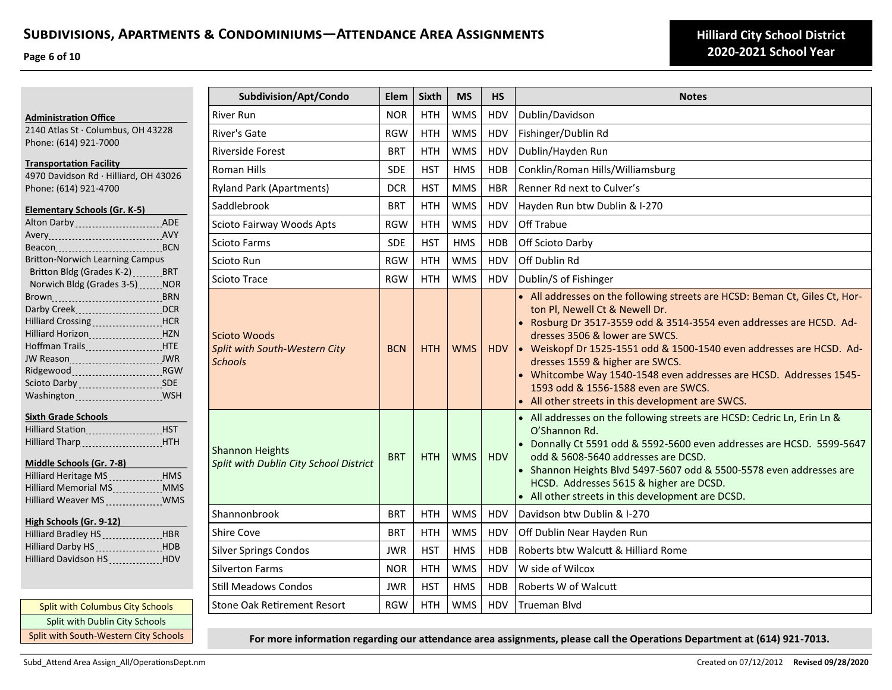**Page 6 of 10**

| <b>Administration Office</b>                                                         | Riv      |
|--------------------------------------------------------------------------------------|----------|
| 2140 Atlas St · Columbus, OH 43228                                                   | R۱۱      |
| Phone: (614) 921-7000                                                                |          |
|                                                                                      | Riv      |
| <b>Transportation Facility</b>                                                       | Rc       |
| 4970 Davidson Rd · Hilliard, OH 43026<br>Phone: (614) 921-4700                       | Ry       |
|                                                                                      |          |
| <b>Elementary Schools (Gr. K-5)</b>                                                  | Sa       |
| Alton Darby  ADE                                                                     | Sc       |
|                                                                                      | Sc       |
|                                                                                      |          |
| <b>Britton-Norwich Learning Campus</b>                                               | Sc       |
| Britton Bldg (Grades K-2)  BRT                                                       | Sc       |
| Norwich Bldg (Grades 3-5) ______ NOR                                                 |          |
|                                                                                      |          |
| Darby Creek [11, 2008] Darby Creek [11, 2008]<br>Hilliard Crossing <b>Filter</b> HCR |          |
| Hilliard Horizon [19] HZN                                                            |          |
| Hoffman Trails  HTE                                                                  | Sc       |
|                                                                                      | Sp<br>Sc |
| Ridgewood _________________________________RGW                                       |          |
| Scioto Darby SDE                                                                     |          |
| Washington WSH                                                                       |          |
| Sixth Grade Schools                                                                  |          |
| Hilliard Station [11] HST                                                            |          |
| Hilliard Tharp  HTH                                                                  |          |
|                                                                                      | Sh       |
| Middle Schools (Gr. 7-8)                                                             | Sp       |
| Hilliard Heritage MS. HMS                                                            |          |
| Hilliard Memorial MS  MMS                                                            |          |
| Hilliard Weaver MS _____________ WMS                                                 |          |
| High Schools (Gr. 9-12)                                                              | Sh       |
| Hilliard Bradley HS HBR                                                              | Sh       |
| Hilliard Darby HS HDB                                                                | Sil      |
| Hilliard Davidson HS ____________HDV                                                 |          |
|                                                                                      | Sil      |
|                                                                                      |          |

Split with Columbus City Schools Split with Dublin City Schools Split with South-Western City Schools

| Subdivision/Apt/Condo                                                         | Elem       | <b>Sixth</b> | <b>MS</b>  | <b>HS</b>  | <b>Notes</b>                                                                                                                                                                                                                                                                                                                                                                                                                                                                                        |  |
|-------------------------------------------------------------------------------|------------|--------------|------------|------------|-----------------------------------------------------------------------------------------------------------------------------------------------------------------------------------------------------------------------------------------------------------------------------------------------------------------------------------------------------------------------------------------------------------------------------------------------------------------------------------------------------|--|
| <b>River Run</b>                                                              | <b>NOR</b> | <b>HTH</b>   | <b>WMS</b> | <b>HDV</b> | Dublin/Davidson                                                                                                                                                                                                                                                                                                                                                                                                                                                                                     |  |
| River's Gate                                                                  | <b>RGW</b> | <b>HTH</b>   | <b>WMS</b> | HDV        | Fishinger/Dublin Rd                                                                                                                                                                                                                                                                                                                                                                                                                                                                                 |  |
| <b>Riverside Forest</b>                                                       | <b>BRT</b> | <b>HTH</b>   | <b>WMS</b> | HDV        | Dublin/Hayden Run                                                                                                                                                                                                                                                                                                                                                                                                                                                                                   |  |
| Roman Hills                                                                   | <b>SDE</b> | <b>HST</b>   | <b>HMS</b> | <b>HDB</b> | Conklin/Roman Hills/Williamsburg                                                                                                                                                                                                                                                                                                                                                                                                                                                                    |  |
| <b>Ryland Park (Apartments)</b>                                               | <b>DCR</b> | <b>HST</b>   | <b>MMS</b> | <b>HBR</b> | Renner Rd next to Culver's                                                                                                                                                                                                                                                                                                                                                                                                                                                                          |  |
| Saddlebrook                                                                   | <b>BRT</b> | <b>HTH</b>   | <b>WMS</b> | HDV        | Hayden Run btw Dublin & I-270                                                                                                                                                                                                                                                                                                                                                                                                                                                                       |  |
| Scioto Fairway Woods Apts                                                     | <b>RGW</b> | <b>HTH</b>   | <b>WMS</b> | HDV        | Off Trabue                                                                                                                                                                                                                                                                                                                                                                                                                                                                                          |  |
| Scioto Farms                                                                  | SDE        | <b>HST</b>   | <b>HMS</b> | <b>HDB</b> | Off Scioto Darby                                                                                                                                                                                                                                                                                                                                                                                                                                                                                    |  |
| Scioto Run                                                                    | <b>RGW</b> | <b>HTH</b>   | <b>WMS</b> | <b>HDV</b> | Off Dublin Rd                                                                                                                                                                                                                                                                                                                                                                                                                                                                                       |  |
| <b>Scioto Trace</b>                                                           | <b>RGW</b> | <b>HTH</b>   | <b>WMS</b> | <b>HDV</b> | Dublin/S of Fishinger                                                                                                                                                                                                                                                                                                                                                                                                                                                                               |  |
| <b>Scioto Woods</b><br><b>Split with South-Western City</b><br><b>Schools</b> | <b>BCN</b> | <b>HTH</b>   | <b>WMS</b> | <b>HDV</b> | • All addresses on the following streets are HCSD: Beman Ct, Giles Ct, Hor-<br>ton Pl, Newell Ct & Newell Dr.<br>• Rosburg Dr 3517-3559 odd & 3514-3554 even addresses are HCSD. Ad-<br>dresses 3506 & lower are SWCS.<br>• Weiskopf Dr 1525-1551 odd & 1500-1540 even addresses are HCSD. Ad-<br>dresses 1559 & higher are SWCS.<br>• Whitcombe Way 1540-1548 even addresses are HCSD. Addresses 1545-<br>1593 odd & 1556-1588 even are SWCS.<br>• All other streets in this development are SWCS. |  |
| <b>Shannon Heights</b><br>Split with Dublin City School District              | <b>BRT</b> | <b>HTH</b>   | <b>WMS</b> | <b>HDV</b> | • All addresses on the following streets are HCSD: Cedric Ln, Erin Ln &<br>O'Shannon Rd.<br>• Donnally Ct 5591 odd & 5592-5600 even addresses are HCSD. 5599-5647<br>odd & 5608-5640 addresses are DCSD.<br>• Shannon Heights Blvd 5497-5607 odd & 5500-5578 even addresses are<br>HCSD. Addresses 5615 & higher are DCSD.<br>• All other streets in this development are DCSD.                                                                                                                     |  |
| Shannonbrook                                                                  | <b>BRT</b> | <b>HTH</b>   | <b>WMS</b> | HDV        | Davidson btw Dublin & I-270                                                                                                                                                                                                                                                                                                                                                                                                                                                                         |  |
| <b>Shire Cove</b>                                                             | <b>BRT</b> | <b>HTH</b>   | <b>WMS</b> | HDV        | Off Dublin Near Hayden Run                                                                                                                                                                                                                                                                                                                                                                                                                                                                          |  |
| <b>Silver Springs Condos</b>                                                  | <b>JWR</b> | <b>HST</b>   | <b>HMS</b> | <b>HDB</b> | Roberts btw Walcutt & Hilliard Rome                                                                                                                                                                                                                                                                                                                                                                                                                                                                 |  |
| <b>Silverton Farms</b>                                                        | <b>NOR</b> | <b>HTH</b>   | <b>WMS</b> | <b>HDV</b> | W side of Wilcox                                                                                                                                                                                                                                                                                                                                                                                                                                                                                    |  |
| <b>Still Meadows Condos</b>                                                   | <b>JWR</b> | <b>HST</b>   | <b>HMS</b> | <b>HDB</b> | Roberts W of Walcutt                                                                                                                                                                                                                                                                                                                                                                                                                                                                                |  |
| <b>Stone Oak Retirement Resort</b>                                            | <b>RGW</b> | <b>HTH</b>   | <b>WMS</b> | <b>HDV</b> | <b>Trueman Blvd</b>                                                                                                                                                                                                                                                                                                                                                                                                                                                                                 |  |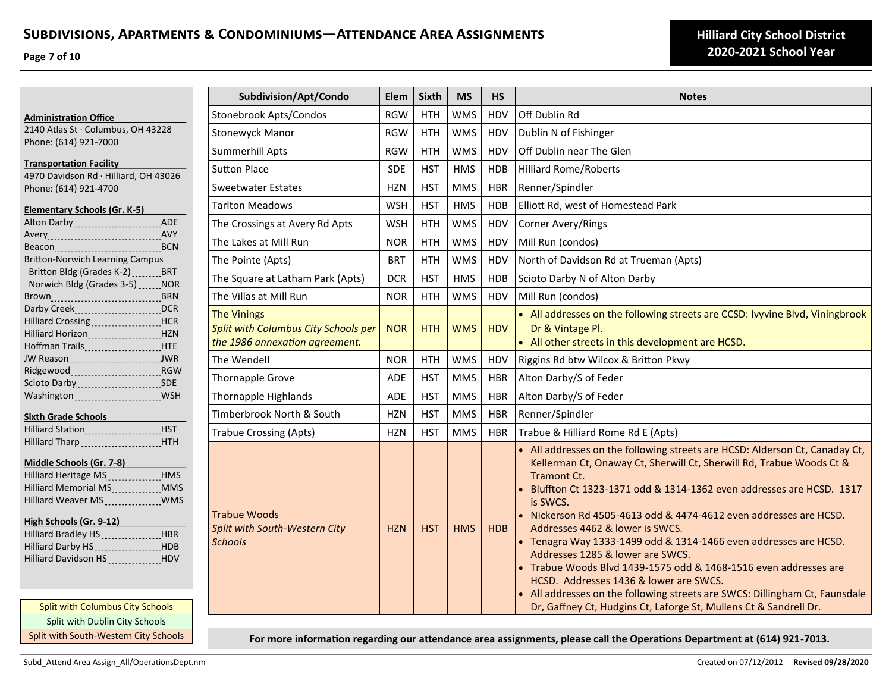**Page 7 of 10**

**Administration Office**

| 2140 Atlas St · Columbus, OH 43228             |  |
|------------------------------------------------|--|
| Phone: (614) 921-7000                          |  |
|                                                |  |
| <b>Transportation Facility</b>                 |  |
| 4970 Davidson Rd · Hilliard, OH 43026          |  |
| Phone: (614) 921-4700                          |  |
|                                                |  |
| <u>Elementary Schools (Gr. K-5)</u>            |  |
| Alton Darby  ADE                               |  |
|                                                |  |
|                                                |  |
| <b>Britton-Norwich Learning Campus</b>         |  |
| Britton Bldg (Grades K-2) BRT                  |  |
| Norwich Bldg (Grades 3-5) NOR                  |  |
| Brown <sub></sub> BRN                          |  |
| Darby Creek DCR                                |  |
| Hilliard Crossing <b>Fig. 1. 1998</b> HCR      |  |
| Hilliard Horizon <b>Martia, HILL HILL HILL</b> |  |
| Hoffman Trails ____________________ HTE        |  |
|                                                |  |
|                                                |  |
| Scioto Darby _________________________SDE      |  |
|                                                |  |
|                                                |  |

### **Sixth Grade Schools**

| <b>Hilliard Station</b> | <b>HST</b> |
|-------------------------|------------|
|                         | <b>HTH</b> |

## **Middle Schools (Gr. 7-8)**

| Hilliard Heritage MS HMS                                                                                                              |            |
|---------------------------------------------------------------------------------------------------------------------------------------|------------|
| Hilliard Memorial MS<br>1998 - The Manus Manus Manus Manus Manus Manus Manus Manus Manus Manus Manus Manus Manus Manus Manus Manus Ma | <b>MMS</b> |
|                                                                                                                                       |            |

## **High Schools (Gr. 9-12)**

| Hilliard Bradley HS ________________HBR  |  |
|------------------------------------------|--|
| Hilliard Darby HS __________________ HDB |  |
| Hilliard Davidson HS HDV                 |  |

Split with Columbus City Schools Split with Dublin City Schools Split with South-Western City Schools

| Subdivision/Apt/Condo                                                                               | Elem       | <b>Sixth</b> | <b>MS</b>  | <b>HS</b>  | <b>Notes</b>                                                                                                                                                                                                                                                                                                                                                                                                                                                                                                                                                                                                                                                                                                                              |
|-----------------------------------------------------------------------------------------------------|------------|--------------|------------|------------|-------------------------------------------------------------------------------------------------------------------------------------------------------------------------------------------------------------------------------------------------------------------------------------------------------------------------------------------------------------------------------------------------------------------------------------------------------------------------------------------------------------------------------------------------------------------------------------------------------------------------------------------------------------------------------------------------------------------------------------------|
| <b>Stonebrook Apts/Condos</b>                                                                       | <b>RGW</b> | <b>HTH</b>   | <b>WMS</b> | HDV        | Off Dublin Rd                                                                                                                                                                                                                                                                                                                                                                                                                                                                                                                                                                                                                                                                                                                             |
| <b>Stonewyck Manor</b>                                                                              | <b>RGW</b> | <b>HTH</b>   | <b>WMS</b> | HDV        | Dublin N of Fishinger                                                                                                                                                                                                                                                                                                                                                                                                                                                                                                                                                                                                                                                                                                                     |
| Summerhill Apts                                                                                     | <b>RGW</b> | <b>HTH</b>   | <b>WMS</b> | <b>HDV</b> | Off Dublin near The Glen                                                                                                                                                                                                                                                                                                                                                                                                                                                                                                                                                                                                                                                                                                                  |
| <b>Sutton Place</b>                                                                                 | <b>SDE</b> | <b>HST</b>   | <b>HMS</b> | <b>HDB</b> | <b>Hilliard Rome/Roberts</b>                                                                                                                                                                                                                                                                                                                                                                                                                                                                                                                                                                                                                                                                                                              |
| Sweetwater Estates                                                                                  | <b>HZN</b> | <b>HST</b>   | <b>MMS</b> | <b>HBR</b> | Renner/Spindler                                                                                                                                                                                                                                                                                                                                                                                                                                                                                                                                                                                                                                                                                                                           |
| <b>Tarlton Meadows</b>                                                                              | <b>WSH</b> | <b>HST</b>   | <b>HMS</b> | <b>HDB</b> | Elliott Rd, west of Homestead Park                                                                                                                                                                                                                                                                                                                                                                                                                                                                                                                                                                                                                                                                                                        |
| The Crossings at Avery Rd Apts                                                                      | <b>WSH</b> | <b>HTH</b>   | <b>WMS</b> | HDV        | Corner Avery/Rings                                                                                                                                                                                                                                                                                                                                                                                                                                                                                                                                                                                                                                                                                                                        |
| The Lakes at Mill Run                                                                               | <b>NOR</b> | <b>HTH</b>   | <b>WMS</b> | HDV        | Mill Run (condos)                                                                                                                                                                                                                                                                                                                                                                                                                                                                                                                                                                                                                                                                                                                         |
| The Pointe (Apts)                                                                                   | <b>BRT</b> | <b>HTH</b>   | <b>WMS</b> | HDV        | North of Davidson Rd at Trueman (Apts)                                                                                                                                                                                                                                                                                                                                                                                                                                                                                                                                                                                                                                                                                                    |
| The Square at Latham Park (Apts)                                                                    | <b>DCR</b> | <b>HST</b>   | <b>HMS</b> | <b>HDB</b> | Scioto Darby N of Alton Darby                                                                                                                                                                                                                                                                                                                                                                                                                                                                                                                                                                                                                                                                                                             |
| The Villas at Mill Run                                                                              | <b>NOR</b> | <b>HTH</b>   | <b>WMS</b> | HDV        | Mill Run (condos)                                                                                                                                                                                                                                                                                                                                                                                                                                                                                                                                                                                                                                                                                                                         |
| <b>The Vinings</b><br><b>Split with Columbus City Schools per</b><br>the 1986 annexation agreement. | <b>NOR</b> | <b>HTH</b>   | <b>WMS</b> | <b>HDV</b> | • All addresses on the following streets are CCSD: Ivyvine Blvd, Viningbrook<br>Dr & Vintage Pl.<br>• All other streets in this development are HCSD.                                                                                                                                                                                                                                                                                                                                                                                                                                                                                                                                                                                     |
| The Wendell                                                                                         | <b>NOR</b> | <b>HTH</b>   | <b>WMS</b> | HDV        | Riggins Rd btw Wilcox & Britton Pkwy                                                                                                                                                                                                                                                                                                                                                                                                                                                                                                                                                                                                                                                                                                      |
| Thornapple Grove                                                                                    | <b>ADE</b> | <b>HST</b>   | <b>MMS</b> | <b>HBR</b> | Alton Darby/S of Feder                                                                                                                                                                                                                                                                                                                                                                                                                                                                                                                                                                                                                                                                                                                    |
| Thornapple Highlands                                                                                | <b>ADE</b> | <b>HST</b>   | <b>MMS</b> | <b>HBR</b> | Alton Darby/S of Feder                                                                                                                                                                                                                                                                                                                                                                                                                                                                                                                                                                                                                                                                                                                    |
| Timberbrook North & South                                                                           | <b>HZN</b> | <b>HST</b>   | <b>MMS</b> | <b>HBR</b> | Renner/Spindler                                                                                                                                                                                                                                                                                                                                                                                                                                                                                                                                                                                                                                                                                                                           |
| <b>Trabue Crossing (Apts)</b>                                                                       | <b>HZN</b> | <b>HST</b>   | <b>MMS</b> | <b>HBR</b> | Trabue & Hilliard Rome Rd E (Apts)                                                                                                                                                                                                                                                                                                                                                                                                                                                                                                                                                                                                                                                                                                        |
| <b>Trabue Woods</b><br><b>Split with South-Western City</b><br><b>Schools</b>                       | <b>HZN</b> | <b>HST</b>   | <b>HMS</b> | HDB        | • All addresses on the following streets are HCSD: Alderson Ct, Canaday Ct,<br>Kellerman Ct, Onaway Ct, Sherwill Ct, Sherwill Rd, Trabue Woods Ct &<br>Tramont Ct.<br>• Bluffton Ct 1323-1371 odd & 1314-1362 even addresses are HCSD. 1317<br>is SWCS.<br>• Nickerson Rd 4505-4613 odd & 4474-4612 even addresses are HCSD.<br>Addresses 4462 & lower is SWCS.<br>• Tenagra Way 1333-1499 odd & 1314-1466 even addresses are HCSD.<br>Addresses 1285 & lower are SWCS.<br>• Trabue Woods Blvd 1439-1575 odd & 1468-1516 even addresses are<br>HCSD. Addresses 1436 & lower are SWCS.<br>• All addresses on the following streets are SWCS: Dillingham Ct, Faunsdale<br>Dr, Gaffney Ct, Hudgins Ct, Laforge St, Mullens Ct & Sandrell Dr. |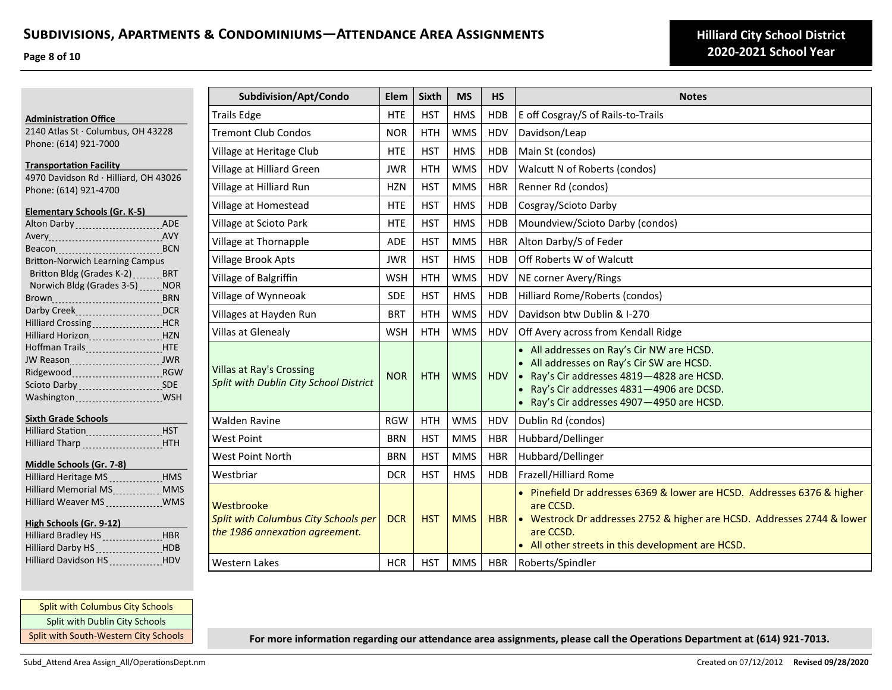**Page 8 of 10**

|                                                                                                                                                                    | Subdivision/Apt/Condo                                                                | Elem       | <b>Sixth</b> | <b>MS</b>  | <b>HS</b>  | <b>Notes</b>                                                                                                                                                                                                                     |
|--------------------------------------------------------------------------------------------------------------------------------------------------------------------|--------------------------------------------------------------------------------------|------------|--------------|------------|------------|----------------------------------------------------------------------------------------------------------------------------------------------------------------------------------------------------------------------------------|
| <b>Administration Office</b>                                                                                                                                       | <b>Trails Edge</b>                                                                   | <b>HTE</b> | <b>HST</b>   | <b>HMS</b> | <b>HDB</b> | E off Cosgray/S of Rails-to-Trails                                                                                                                                                                                               |
| 2140 Atlas St · Columbus, OH 43228                                                                                                                                 | <b>Tremont Club Condos</b>                                                           | <b>NOR</b> | <b>HTH</b>   | <b>WMS</b> | HDV        | Davidson/Leap                                                                                                                                                                                                                    |
| Phone: (614) 921-7000                                                                                                                                              | Village at Heritage Club                                                             | <b>HTE</b> | <b>HST</b>   | <b>HMS</b> | <b>HDB</b> | Main St (condos)                                                                                                                                                                                                                 |
| <b>Transportation Facility</b>                                                                                                                                     | Village at Hilliard Green                                                            | <b>JWR</b> | <b>HTH</b>   | <b>WMS</b> | <b>HDV</b> | Walcutt N of Roberts (condos)                                                                                                                                                                                                    |
| 4970 Davidson Rd · Hilliard, OH 43026<br>Phone: (614) 921-4700                                                                                                     | Village at Hilliard Run                                                              | <b>HZN</b> | <b>HST</b>   | <b>MMS</b> | <b>HBR</b> | Renner Rd (condos)                                                                                                                                                                                                               |
|                                                                                                                                                                    | Village at Homestead                                                                 | <b>HTE</b> | <b>HST</b>   | <b>HMS</b> | <b>HDB</b> | Cosgray/Scioto Darby                                                                                                                                                                                                             |
| <b>Elementary Schools (Gr. K-5)</b><br>Alton Darby ADE                                                                                                             | Village at Scioto Park                                                               | <b>HTE</b> | <b>HST</b>   | <b>HMS</b> | <b>HDB</b> | Moundview/Scioto Darby (condos)                                                                                                                                                                                                  |
|                                                                                                                                                                    | Village at Thornapple                                                                | ADE        | <b>HST</b>   | <b>MMS</b> | <b>HBR</b> | Alton Darby/S of Feder                                                                                                                                                                                                           |
| <b>Britton-Norwich Learning Campus</b>                                                                                                                             | <b>Village Brook Apts</b>                                                            | <b>JWR</b> | <b>HST</b>   | <b>HMS</b> | <b>HDB</b> | Off Roberts W of Walcutt                                                                                                                                                                                                         |
| Britton Bldg (Grades K-2) ________ BRT                                                                                                                             | Village of Balgriffin                                                                | <b>WSH</b> | <b>HTH</b>   | <b>WMS</b> | HDV        | NE corner Avery/Rings                                                                                                                                                                                                            |
| Norwich Bldg (Grades 3-5) NOR                                                                                                                                      | Village of Wynneoak                                                                  | <b>SDE</b> | <b>HST</b>   | <b>HMS</b> | <b>HDB</b> | Hilliard Rome/Roberts (condos)                                                                                                                                                                                                   |
| Darby CreekDCR                                                                                                                                                     | Villages at Hayden Run                                                               | <b>BRT</b> | <b>HTH</b>   | <b>WMS</b> | HDV        | Davidson btw Dublin & I-270                                                                                                                                                                                                      |
| Hilliard Crossing HCR<br>Hilliard Horizon Manuel HZN                                                                                                               | Villas at Glenealy                                                                   | <b>WSH</b> | <b>HTH</b>   | <b>WMS</b> | <b>HDV</b> | Off Avery across from Kendall Ridge                                                                                                                                                                                              |
| Hoffman Trails <b>HITE</b><br>Ridgewood Ridgewood RGW<br>Scioto Darby _______________________ SDE                                                                  | <b>Villas at Ray's Crossing</b><br>Split with Dublin City School District            | <b>NOR</b> | <b>HTH</b>   | <b>WMS</b> | <b>HDV</b> | • All addresses on Ray's Cir NW are HCSD.<br>• All addresses on Ray's Cir SW are HCSD.<br>• Ray's Cir addresses 4819-4828 are HCSD.<br>• Ray's Cir addresses 4831-4906 are DCSD.<br>• Ray's Cir addresses 4907-4950 are HCSD.    |
| <b>Sixth Grade Schools</b>                                                                                                                                         | <b>Walden Ravine</b>                                                                 | <b>RGW</b> | <b>HTH</b>   | <b>WMS</b> | <b>HDV</b> | Dublin Rd (condos)                                                                                                                                                                                                               |
| Hilliard Station Manuel HST<br>Hilliard Tharp HTH                                                                                                                  | West Point                                                                           | <b>BRN</b> | <b>HST</b>   | <b>MMS</b> | <b>HBR</b> | Hubbard/Dellinger                                                                                                                                                                                                                |
|                                                                                                                                                                    | <b>West Point North</b>                                                              | <b>BRN</b> | <b>HST</b>   | <b>MMS</b> | <b>HBR</b> | Hubbard/Dellinger                                                                                                                                                                                                                |
| Middle Schools (Gr. 7-8)<br>Hilliard Heritage MS HMS                                                                                                               | Westbriar                                                                            | <b>DCR</b> | <b>HST</b>   | <b>HMS</b> | <b>HDB</b> | Frazell/Hilliard Rome                                                                                                                                                                                                            |
| Hilliard Memorial MS  MMS<br>Hilliard Weaver MS  WMS<br>High Schools (Gr. 9-12)<br>Hilliard Bradley HS _________________HBR<br>Hilliard Darby HS <b>Manual</b> HDB | Westbrooke<br>Split with Columbus City Schools per<br>the 1986 annexation agreement. | <b>DCR</b> | <b>HST</b>   | <b>MMS</b> | <b>HBR</b> | • Pinefield Dr addresses 6369 & lower are HCSD. Addresses 6376 & higher<br>are CCSD.<br>• Westrock Dr addresses 2752 & higher are HCSD. Addresses 2744 & lower<br>are CCSD.<br>• All other streets in this development are HCSD. |
| Hilliard Davidson HS HDV                                                                                                                                           | <b>Western Lakes</b>                                                                 | <b>HCR</b> | <b>HST</b>   | <b>MMS</b> | <b>HBR</b> | Roberts/Spindler                                                                                                                                                                                                                 |

Split with Columbus City Schools Split with Dublin City Schools Split with South-Western City Schools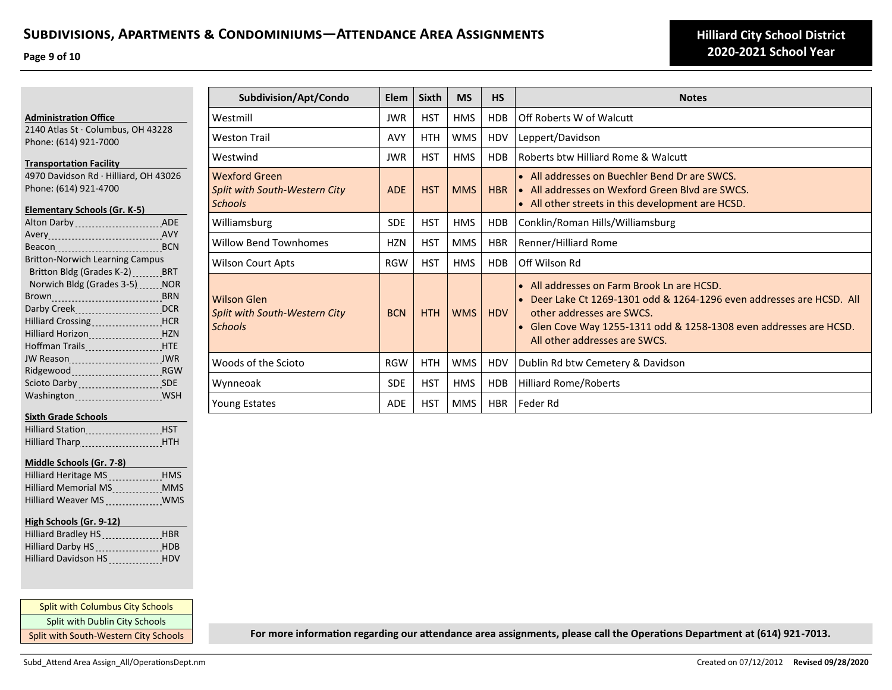**Page 9 of 10**

**Administration Office**

2140 Atlas St · Columbus, OH 43228 Phone: (614) 921-7000 **Transportation Facility**

4970 Davidson Rd · Hilliard, OH 43026 Phone: (614) 921-4700

| Elementary Schools (Gr. K-5)             |  |
|------------------------------------------|--|
| Alton Darby  ADE                         |  |
|                                          |  |
| Beacon BCN                               |  |
| <b>Britton-Norwich Learning Campus</b>   |  |
| Britton Bldg (Grades K-2) _______BRT     |  |
| Norwich Bldg (Grades 3-5) NOR            |  |
|                                          |  |
|                                          |  |
| Hilliard Crossing HCR                    |  |
|                                          |  |
| Hoffman Trails <b>Manager Accord HTE</b> |  |
| JW Reason JWR                            |  |
|                                          |  |
| Scioto Darby 11, 1997, 1998              |  |
| Washington MSH                           |  |
|                                          |  |

## **Sixth Grade Schools**

| <b>Hilliard Station</b> |                             | <b>HST</b> |
|-------------------------|-----------------------------|------------|
|                         | Hilliard Tharp Parameters P | <b>HTH</b> |

### **Middle Schools (Gr. 7-8)**

| Hilliard Heritage MS HMS     |            |
|------------------------------|------------|
| Hilliard Memorial MS<br>1996 | <b>MMS</b> |
|                              |            |

## **High Schools (Gr. 9-12)**

| Hilliard Bradley HS HBR  |  |
|--------------------------|--|
| Hilliard Darby HS HDB    |  |
| Hilliard Davidson HS HDV |  |

Split with Columbus City Schools Split with Dublin City Schools Split with South-Western City Schools

| Subdivision/Apt/Condo                                                   | Elem       | <b>Sixth</b> | <b>MS</b>  | <b>HS</b>  | <b>Notes</b>                                                                                                                                                                                                                                            |
|-------------------------------------------------------------------------|------------|--------------|------------|------------|---------------------------------------------------------------------------------------------------------------------------------------------------------------------------------------------------------------------------------------------------------|
| Westmill                                                                | <b>JWR</b> | <b>HST</b>   | <b>HMS</b> | <b>HDB</b> | Off Roberts W of Walcutt                                                                                                                                                                                                                                |
| <b>Weston Trail</b>                                                     | <b>AVY</b> | <b>HTH</b>   | <b>WMS</b> | HDV        | Leppert/Davidson                                                                                                                                                                                                                                        |
| Westwind                                                                | <b>JWR</b> | <b>HST</b>   | <b>HMS</b> | <b>HDB</b> | Roberts btw Hilliard Rome & Walcutt                                                                                                                                                                                                                     |
| <b>Wexford Green</b><br>Split with South-Western City<br><b>Schools</b> | <b>ADE</b> | <b>HST</b>   | <b>MMS</b> | <b>HBR</b> | • All addresses on Buechler Bend Dr are SWCS.<br>• All addresses on Wexford Green Blyd are SWCS.<br>• All other streets in this development are HCSD.                                                                                                   |
| Williamsburg                                                            | <b>SDE</b> | <b>HST</b>   | <b>HMS</b> | <b>HDB</b> | Conklin/Roman Hills/Williamsburg                                                                                                                                                                                                                        |
| <b>Willow Bend Townhomes</b>                                            | <b>HZN</b> | <b>HST</b>   | <b>MMS</b> | <b>HBR</b> | Renner/Hilliard Rome                                                                                                                                                                                                                                    |
| <b>Wilson Court Apts</b>                                                | <b>RGW</b> | <b>HST</b>   | <b>HMS</b> | <b>HDB</b> | Off Wilson Rd                                                                                                                                                                                                                                           |
| <b>Wilson Glen</b><br>Split with South-Western City<br><b>Schools</b>   | <b>BCN</b> | <b>HTH</b>   | <b>WMS</b> | <b>HDV</b> | • All addresses on Farm Brook Ln are HCSD.<br>• Deer Lake Ct 1269-1301 odd & 1264-1296 even addresses are HCSD. All<br>other addresses are SWCS.<br>• Glen Cove Way 1255-1311 odd & 1258-1308 even addresses are HCSD.<br>All other addresses are SWCS. |
| Woods of the Scioto                                                     | <b>RGW</b> | <b>HTH</b>   | <b>WMS</b> | HDV        | Dublin Rd btw Cemetery & Davidson                                                                                                                                                                                                                       |
| Wynneoak                                                                | <b>SDE</b> | <b>HST</b>   | <b>HMS</b> | <b>HDB</b> | <b>Hilliard Rome/Roberts</b>                                                                                                                                                                                                                            |
| <b>Young Estates</b>                                                    | <b>ADE</b> | <b>HST</b>   | <b>MMS</b> | <b>HBR</b> | Feder Rd                                                                                                                                                                                                                                                |